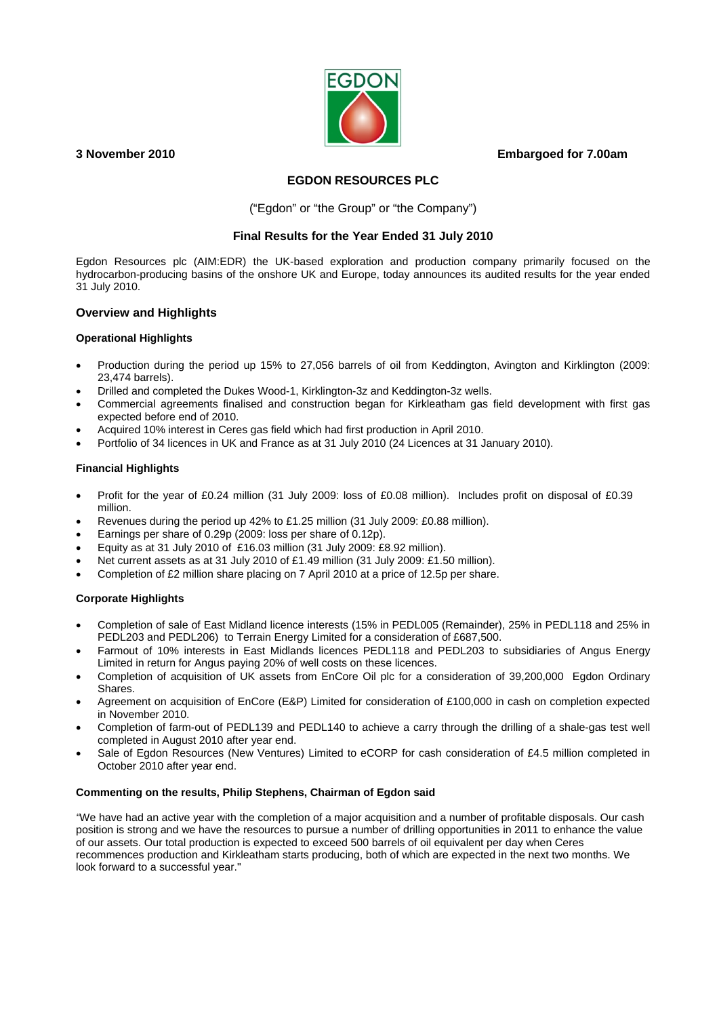# **3 November 2010 Embargoed for 7.00am**



# **EGDON RESOURCES PLC**

("Egdon" or "the Group" or "the Company")

# **Final Results for the Year Ended 31 July 2010**

Egdon Resources plc (AIM:EDR) the UK-based exploration and production company primarily focused on the hydrocarbon-producing basins of the onshore UK and Europe, today announces its audited results for the year ended 31 July 2010.

## **Overview and Highlights**

## **Operational Highlights**

- Production during the period up 15% to 27,056 barrels of oil from Keddington, Avington and Kirklington (2009: 23,474 barrels).
- Drilled and completed the Dukes Wood-1, Kirklington-3z and Keddington-3z wells.
- Commercial agreements finalised and construction began for Kirkleatham gas field development with first gas expected before end of 2010.
- Acquired 10% interest in Ceres gas field which had first production in April 2010.
- Portfolio of 34 licences in UK and France as at 31 July 2010 (24 Licences at 31 January 2010).

## **Financial Highlights**

- Profit for the year of £0.24 million (31 July 2009: loss of £0.08 million). Includes profit on disposal of £0.39 million.
- Revenues during the period up 42% to £1.25 million (31 July 2009: £0.88 million).
- Earnings per share of 0.29p (2009: loss per share of 0.12p).
- Equity as at 31 July 2010 of £16.03 million (31 July 2009: £8.92 million).
- Net current assets as at 31 July 2010 of £1.49 million (31 July 2009: £1.50 million).
- Completion of £2 million share placing on 7 April 2010 at a price of 12.5p per share.

## **Corporate Highlights**

- Completion of sale of East Midland licence interests (15% in PEDL005 (Remainder), 25% in PEDL118 and 25% in PEDL203 and PEDL206) to Terrain Energy Limited for a consideration of £687,500.
- Farmout of 10% interests in East Midlands licences PEDL118 and PEDL203 to subsidiaries of Angus Energy Limited in return for Angus paying 20% of well costs on these licences.
- Completion of acquisition of UK assets from EnCore Oil plc for a consideration of 39,200,000 Egdon Ordinary Shares.
- Agreement on acquisition of EnCore (E&P) Limited for consideration of £100,000 in cash on completion expected in November 2010.
- Completion of farm-out of PEDL139 and PEDL140 to achieve a carry through the drilling of a shale-gas test well completed in August 2010 after year end.
- Sale of Egdon Resources (New Ventures) Limited to eCORP for cash consideration of £4.5 million completed in October 2010 after year end.

## **Commenting on the results, Philip Stephens, Chairman of Egdon said**

*"*We have had an active year with the completion of a major acquisition and a number of profitable disposals. Our cash position is strong and we have the resources to pursue a number of drilling opportunities in 2011 to enhance the value of our assets. Our total production is expected to exceed 500 barrels of oil equivalent per day when Ceres recommences production and Kirkleatham starts producing, both of which are expected in the next two months. We look forward to a successful year."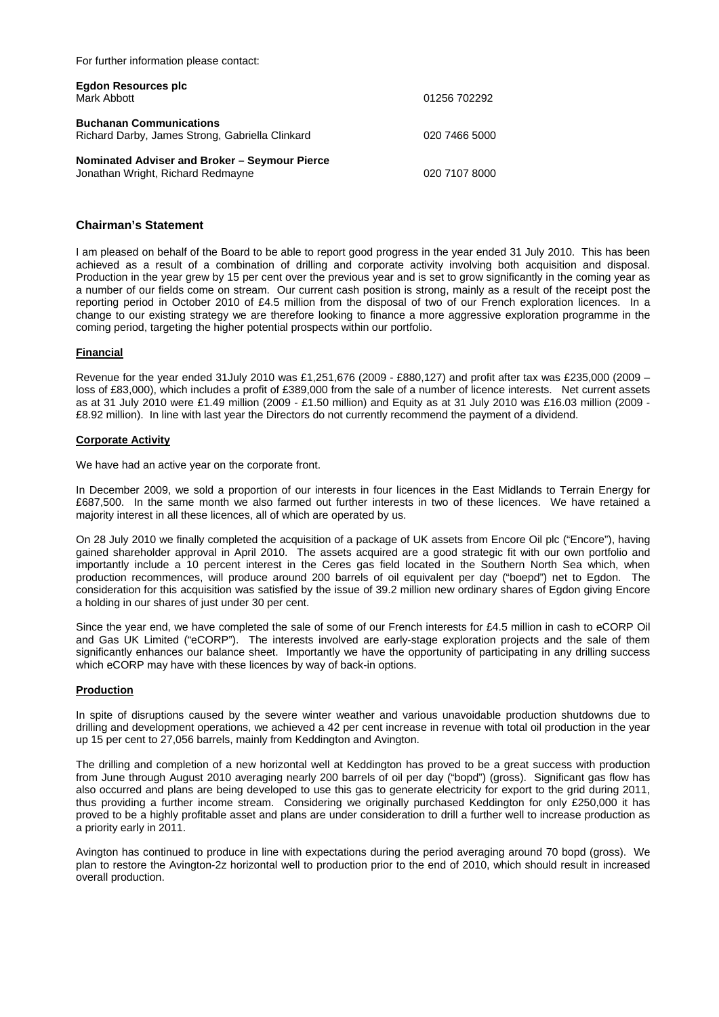For further information please contact:

| Egdon Resources plc<br>Mark Abbott                                                 | 01256 702292  |
|------------------------------------------------------------------------------------|---------------|
| <b>Buchanan Communications</b><br>Richard Darby, James Strong, Gabriella Clinkard  | 020 7466 5000 |
| Nominated Adviser and Broker - Seymour Pierce<br>Jonathan Wright, Richard Redmayne | 020 7107 8000 |

## **Chairman's Statement**

I am pleased on behalf of the Board to be able to report good progress in the year ended 31 July 2010. This has been achieved as a result of a combination of drilling and corporate activity involving both acquisition and disposal. Production in the year grew by 15 per cent over the previous year and is set to grow significantly in the coming year as a number of our fields come on stream. Our current cash position is strong, mainly as a result of the receipt post the reporting period in October 2010 of £4.5 million from the disposal of two of our French exploration licences. In a change to our existing strategy we are therefore looking to finance a more aggressive exploration programme in the coming period, targeting the higher potential prospects within our portfolio.

#### **Financial**

Revenue for the year ended 31July 2010 was £1,251,676 (2009 - £880,127) and profit after tax was £235,000 (2009 – loss of £83,000), which includes a profit of £389,000 from the sale of a number of licence interests. Net current assets as at 31 July 2010 were £1.49 million (2009 - £1.50 million) and Equity as at 31 July 2010 was £16.03 million (2009 - £8.92 million). In line with last year the Directors do not currently recommend the payment of a dividend.

#### **Corporate Activity**

We have had an active year on the corporate front.

In December 2009, we sold a proportion of our interests in four licences in the East Midlands to Terrain Energy for £687,500. In the same month we also farmed out further interests in two of these licences. We have retained a majority interest in all these licences, all of which are operated by us.

On 28 July 2010 we finally completed the acquisition of a package of UK assets from Encore Oil plc ("Encore"), having gained shareholder approval in April 2010. The assets acquired are a good strategic fit with our own portfolio and importantly include a 10 percent interest in the Ceres gas field located in the Southern North Sea which, when production recommences, will produce around 200 barrels of oil equivalent per day ("boepd") net to Egdon. The consideration for this acquisition was satisfied by the issue of 39.2 million new ordinary shares of Egdon giving Encore a holding in our shares of just under 30 per cent.

Since the year end, we have completed the sale of some of our French interests for £4.5 million in cash to eCORP Oil and Gas UK Limited ("eCORP"). The interests involved are early-stage exploration projects and the sale of them significantly enhances our balance sheet. Importantly we have the opportunity of participating in any drilling success which eCORP may have with these licences by way of back-in options.

#### **Production**

In spite of disruptions caused by the severe winter weather and various unavoidable production shutdowns due to drilling and development operations, we achieved a 42 per cent increase in revenue with total oil production in the year up 15 per cent to 27,056 barrels, mainly from Keddington and Avington.

The drilling and completion of a new horizontal well at Keddington has proved to be a great success with production from June through August 2010 averaging nearly 200 barrels of oil per day ("bopd") (gross). Significant gas flow has also occurred and plans are being developed to use this gas to generate electricity for export to the grid during 2011, thus providing a further income stream. Considering we originally purchased Keddington for only £250,000 it has proved to be a highly profitable asset and plans are under consideration to drill a further well to increase production as a priority early in 2011.

Avington has continued to produce in line with expectations during the period averaging around 70 bopd (gross). We plan to restore the Avington-2z horizontal well to production prior to the end of 2010, which should result in increased overall production.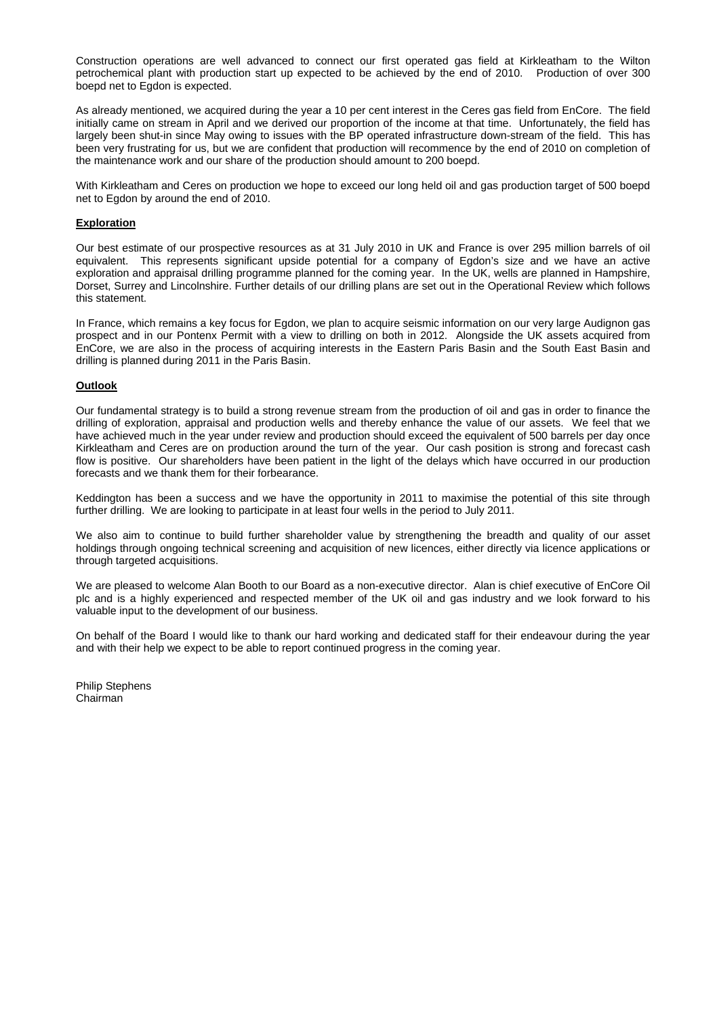Construction operations are well advanced to connect our first operated gas field at Kirkleatham to the Wilton petrochemical plant with production start up expected to be achieved by the end of 2010. Production of over 300 boepd net to Egdon is expected.

As already mentioned, we acquired during the year a 10 per cent interest in the Ceres gas field from EnCore. The field initially came on stream in April and we derived our proportion of the income at that time. Unfortunately, the field has largely been shut-in since May owing to issues with the BP operated infrastructure down-stream of the field. This has been very frustrating for us, but we are confident that production will recommence by the end of 2010 on completion of the maintenance work and our share of the production should amount to 200 boepd.

With Kirkleatham and Ceres on production we hope to exceed our long held oil and gas production target of 500 boepd net to Egdon by around the end of 2010.

#### **Exploration**

Our best estimate of our prospective resources as at 31 July 2010 in UK and France is over 295 million barrels of oil equivalent. This represents significant upside potential for a company of Egdon's size and we have an active exploration and appraisal drilling programme planned for the coming year. In the UK, wells are planned in Hampshire, Dorset, Surrey and Lincolnshire. Further details of our drilling plans are set out in the Operational Review which follows this statement.

In France, which remains a key focus for Egdon, we plan to acquire seismic information on our very large Audignon gas prospect and in our Pontenx Permit with a view to drilling on both in 2012. Alongside the UK assets acquired from EnCore, we are also in the process of acquiring interests in the Eastern Paris Basin and the South East Basin and drilling is planned during 2011 in the Paris Basin.

#### **Outlook**

Our fundamental strategy is to build a strong revenue stream from the production of oil and gas in order to finance the drilling of exploration, appraisal and production wells and thereby enhance the value of our assets. We feel that we have achieved much in the year under review and production should exceed the equivalent of 500 barrels per day once Kirkleatham and Ceres are on production around the turn of the year. Our cash position is strong and forecast cash flow is positive. Our shareholders have been patient in the light of the delays which have occurred in our production forecasts and we thank them for their forbearance.

Keddington has been a success and we have the opportunity in 2011 to maximise the potential of this site through further drilling. We are looking to participate in at least four wells in the period to July 2011.

We also aim to continue to build further shareholder value by strengthening the breadth and quality of our asset holdings through ongoing technical screening and acquisition of new licences, either directly via licence applications or through targeted acquisitions.

We are pleased to welcome Alan Booth to our Board as a non-executive director. Alan is chief executive of EnCore Oil plc and is a highly experienced and respected member of the UK oil and gas industry and we look forward to his valuable input to the development of our business.

On behalf of the Board I would like to thank our hard working and dedicated staff for their endeavour during the year and with their help we expect to be able to report continued progress in the coming year.

Philip Stephens Chairman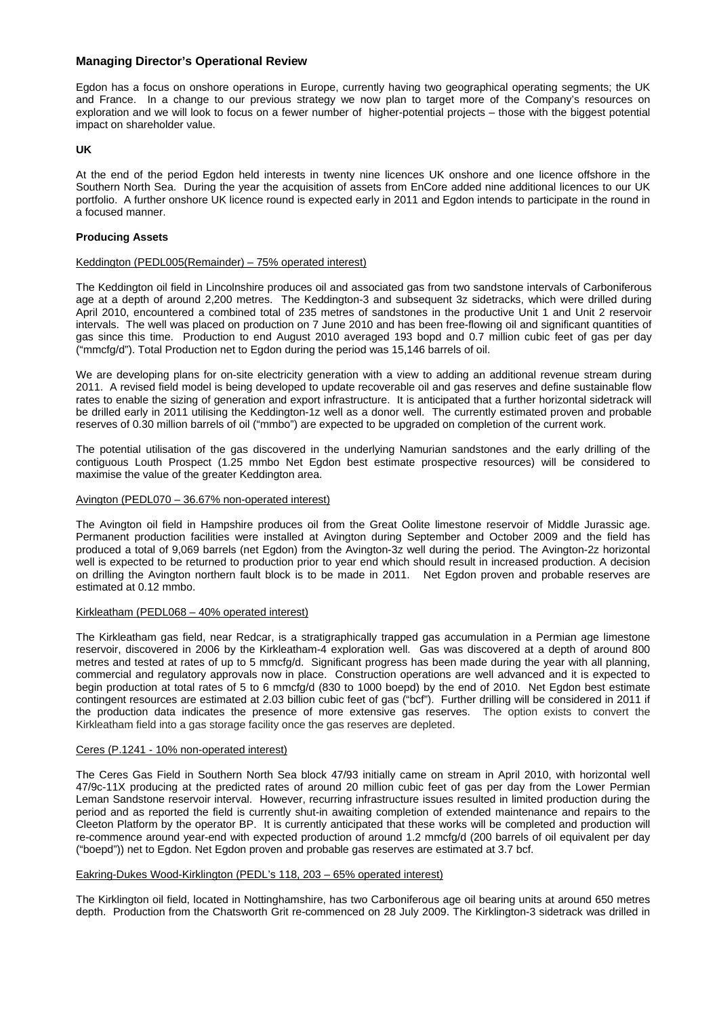## **Managing Director's Operational Review**

Egdon has a focus on onshore operations in Europe, currently having two geographical operating segments; the UK and France. In a change to our previous strategy we now plan to target more of the Company's resources on exploration and we will look to focus on a fewer number of higher-potential projects – those with the biggest potential impact on shareholder value.

## **UK**

At the end of the period Egdon held interests in twenty nine licences UK onshore and one licence offshore in the Southern North Sea. During the year the acquisition of assets from EnCore added nine additional licences to our UK portfolio. A further onshore UK licence round is expected early in 2011 and Egdon intends to participate in the round in a focused manner.

#### **Producing Assets**

#### Keddington (PEDL005(Remainder) – 75% operated interest)

The Keddington oil field in Lincolnshire produces oil and associated gas from two sandstone intervals of Carboniferous age at a depth of around 2,200 metres. The Keddington-3 and subsequent 3z sidetracks, which were drilled during April 2010, encountered a combined total of 235 metres of sandstones in the productive Unit 1 and Unit 2 reservoir intervals. The well was placed on production on 7 June 2010 and has been free-flowing oil and significant quantities of gas since this time. Production to end August 2010 averaged 193 bopd and 0.7 million cubic feet of gas per day ("mmcfg/d"). Total Production net to Egdon during the period was 15,146 barrels of oil.

We are developing plans for on-site electricity generation with a view to adding an additional revenue stream during 2011. A revised field model is being developed to update recoverable oil and gas reserves and define sustainable flow rates to enable the sizing of generation and export infrastructure. It is anticipated that a further horizontal sidetrack will be drilled early in 2011 utilising the Keddington-1z well as a donor well. The currently estimated proven and probable reserves of 0.30 million barrels of oil ("mmbo") are expected to be upgraded on completion of the current work.

The potential utilisation of the gas discovered in the underlying Namurian sandstones and the early drilling of the contiguous Louth Prospect (1.25 mmbo Net Egdon best estimate prospective resources) will be considered to maximise the value of the greater Keddington area.

#### Avington (PEDL070 – 36.67% non-operated interest)

The Avington oil field in Hampshire produces oil from the Great Oolite limestone reservoir of Middle Jurassic age. Permanent production facilities were installed at Avington during September and October 2009 and the field has produced a total of 9,069 barrels (net Egdon) from the Avington-3z well during the period. The Avington-2z horizontal well is expected to be returned to production prior to year end which should result in increased production. A decision on drilling the Avington northern fault block is to be made in 2011. Net Egdon proven and probable reserves are estimated at 0.12 mmbo.

#### Kirkleatham (PEDL068 – 40% operated interest)

The Kirkleatham gas field, near Redcar, is a stratigraphically trapped gas accumulation in a Permian age limestone reservoir, discovered in 2006 by the Kirkleatham-4 exploration well. Gas was discovered at a depth of around 800 metres and tested at rates of up to 5 mmcfg/d. Significant progress has been made during the year with all planning, commercial and regulatory approvals now in place. Construction operations are well advanced and it is expected to begin production at total rates of 5 to 6 mmcfg/d (830 to 1000 boepd) by the end of 2010. Net Egdon best estimate contingent resources are estimated at 2.03 billion cubic feet of gas ("bcf"). Further drilling will be considered in 2011 if the production data indicates the presence of more extensive gas reserves. The option exists to convert the Kirkleatham field into a gas storage facility once the gas reserves are depleted.

#### Ceres (P.1241 - 10% non-operated interest)

The Ceres Gas Field in Southern North Sea block 47/93 initially came on stream in April 2010, with horizontal well 47/9c-11X producing at the predicted rates of around 20 million cubic feet of gas per day from the Lower Permian Leman Sandstone reservoir interval. However, recurring infrastructure issues resulted in limited production during the period and as reported the field is currently shut-in awaiting completion of extended maintenance and repairs to the Cleeton Platform by the operator BP. It is currently anticipated that these works will be completed and production will re-commence around year-end with expected production of around 1.2 mmcfg/d (200 barrels of oil equivalent per day ("boepd")) net to Egdon. Net Egdon proven and probable gas reserves are estimated at 3.7 bcf.

#### Eakring-Dukes Wood-Kirklington (PEDL's 118, 203 – 65% operated interest)

The Kirklington oil field, located in Nottinghamshire, has two Carboniferous age oil bearing units at around 650 metres depth. Production from the Chatsworth Grit re-commenced on 28 July 2009. The Kirklington-3 sidetrack was drilled in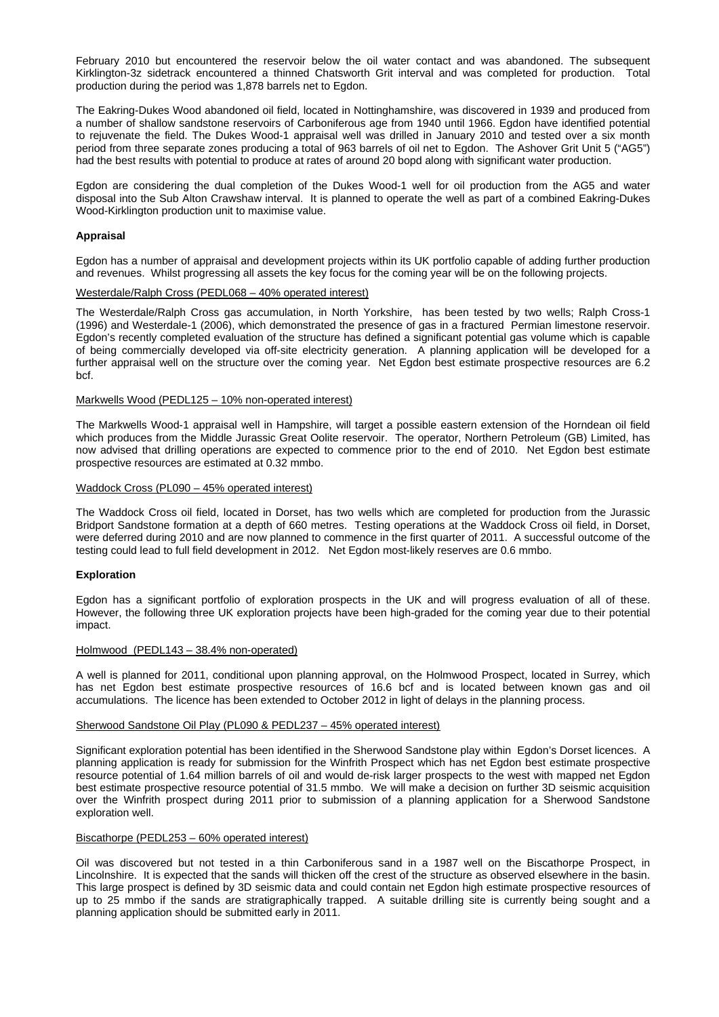February 2010 but encountered the reservoir below the oil water contact and was abandoned. The subsequent Kirklington-3z sidetrack encountered a thinned Chatsworth Grit interval and was completed for production. Total production during the period was 1,878 barrels net to Egdon.

The Eakring-Dukes Wood abandoned oil field, located in Nottinghamshire, was discovered in 1939 and produced from a number of shallow sandstone reservoirs of Carboniferous age from 1940 until 1966. Egdon have identified potential to rejuvenate the field. The Dukes Wood-1 appraisal well was drilled in January 2010 and tested over a six month period from three separate zones producing a total of 963 barrels of oil net to Egdon. The Ashover Grit Unit 5 ("AG5") had the best results with potential to produce at rates of around 20 bopd along with significant water production.

Egdon are considering the dual completion of the Dukes Wood-1 well for oil production from the AG5 and water disposal into the Sub Alton Crawshaw interval. It is planned to operate the well as part of a combined Eakring-Dukes Wood-Kirklington production unit to maximise value.

#### **Appraisal**

Egdon has a number of appraisal and development projects within its UK portfolio capable of adding further production and revenues. Whilst progressing all assets the key focus for the coming year will be on the following projects.

#### Westerdale/Ralph Cross (PEDL068 – 40% operated interest)

The Westerdale/Ralph Cross gas accumulation, in North Yorkshire, has been tested by two wells; Ralph Cross-1 (1996) and Westerdale-1 (2006), which demonstrated the presence of gas in a fractured Permian limestone reservoir. Egdon's recently completed evaluation of the structure has defined a significant potential gas volume which is capable of being commercially developed via off-site electricity generation. A planning application will be developed for a further appraisal well on the structure over the coming year. Net Egdon best estimate prospective resources are 6.2 bcf.

#### Markwells Wood (PEDL125 – 10% non-operated interest)

The Markwells Wood-1 appraisal well in Hampshire, will target a possible eastern extension of the Horndean oil field which produces from the Middle Jurassic Great Oolite reservoir. The operator, Northern Petroleum (GB) Limited, has now advised that drilling operations are expected to commence prior to the end of 2010. Net Egdon best estimate prospective resources are estimated at 0.32 mmbo.

#### Waddock Cross (PL090 – 45% operated interest)

The Waddock Cross oil field, located in Dorset, has two wells which are completed for production from the Jurassic Bridport Sandstone formation at a depth of 660 metres. Testing operations at the Waddock Cross oil field, in Dorset, were deferred during 2010 and are now planned to commence in the first quarter of 2011. A successful outcome of the testing could lead to full field development in 2012. Net Egdon most-likely reserves are 0.6 mmbo.

#### **Exploration**

Egdon has a significant portfolio of exploration prospects in the UK and will progress evaluation of all of these. However, the following three UK exploration projects have been high-graded for the coming year due to their potential impact.

#### Holmwood (PEDL143 – 38.4% non-operated)

A well is planned for 2011, conditional upon planning approval, on the Holmwood Prospect, located in Surrey, which has net Egdon best estimate prospective resources of 16.6 bcf and is located between known gas and oil accumulations. The licence has been extended to October 2012 in light of delays in the planning process.

#### Sherwood Sandstone Oil Play (PL090 & PEDL237 – 45% operated interest)

Significant exploration potential has been identified in the Sherwood Sandstone play within Egdon's Dorset licences. A planning application is ready for submission for the Winfrith Prospect which has net Egdon best estimate prospective resource potential of 1.64 million barrels of oil and would de-risk larger prospects to the west with mapped net Egdon best estimate prospective resource potential of 31.5 mmbo. We will make a decision on further 3D seismic acquisition over the Winfrith prospect during 2011 prior to submission of a planning application for a Sherwood Sandstone exploration well.

#### Biscathorpe (PEDL253 – 60% operated interest)

Oil was discovered but not tested in a thin Carboniferous sand in a 1987 well on the Biscathorpe Prospect, in Lincolnshire. It is expected that the sands will thicken off the crest of the structure as observed elsewhere in the basin. This large prospect is defined by 3D seismic data and could contain net Egdon high estimate prospective resources of up to 25 mmbo if the sands are stratigraphically trapped. A suitable drilling site is currently being sought and a planning application should be submitted early in 2011.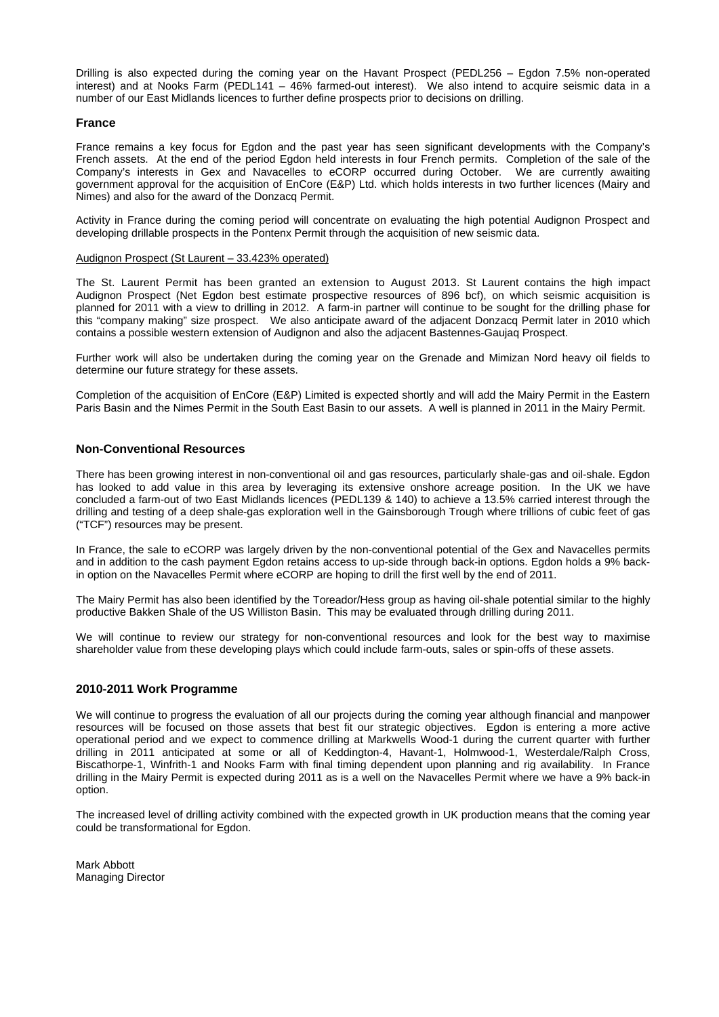Drilling is also expected during the coming year on the Havant Prospect (PEDL256 – Egdon 7.5% non-operated interest) and at Nooks Farm (PEDL141 – 46% farmed-out interest). We also intend to acquire seismic data in a number of our East Midlands licences to further define prospects prior to decisions on drilling.

#### **France**

France remains a key focus for Egdon and the past year has seen significant developments with the Company's French assets. At the end of the period Egdon held interests in four French permits. Completion of the sale of the Company's interests in Gex and Navacelles to eCORP occurred during October. We are currently awaiting government approval for the acquisition of EnCore (E&P) Ltd. which holds interests in two further licences (Mairy and Nimes) and also for the award of the Donzacq Permit.

Activity in France during the coming period will concentrate on evaluating the high potential Audignon Prospect and developing drillable prospects in the Pontenx Permit through the acquisition of new seismic data.

#### Audignon Prospect (St Laurent – 33.423% operated)

The St. Laurent Permit has been granted an extension to August 2013. St Laurent contains the high impact Audignon Prospect (Net Egdon best estimate prospective resources of 896 bcf), on which seismic acquisition is planned for 2011 with a view to drilling in 2012. A farm-in partner will continue to be sought for the drilling phase for this "company making" size prospect. We also anticipate award of the adjacent Donzacq Permit later in 2010 which contains a possible western extension of Audignon and also the adjacent Bastennes-Gaujaq Prospect.

Further work will also be undertaken during the coming year on the Grenade and Mimizan Nord heavy oil fields to determine our future strategy for these assets.

Completion of the acquisition of EnCore (E&P) Limited is expected shortly and will add the Mairy Permit in the Eastern Paris Basin and the Nimes Permit in the South East Basin to our assets. A well is planned in 2011 in the Mairy Permit.

#### **Non-Conventional Resources**

There has been growing interest in non-conventional oil and gas resources, particularly shale-gas and oil-shale. Egdon has looked to add value in this area by leveraging its extensive onshore acreage position. In the UK we have concluded a farm-out of two East Midlands licences (PEDL139 & 140) to achieve a 13.5% carried interest through the drilling and testing of a deep shale-gas exploration well in the Gainsborough Trough where trillions of cubic feet of gas ("TCF") resources may be present.

In France, the sale to eCORP was largely driven by the non-conventional potential of the Gex and Navacelles permits and in addition to the cash payment Egdon retains access to up-side through back-in options. Egdon holds a 9% backin option on the Navacelles Permit where eCORP are hoping to drill the first well by the end of 2011.

The Mairy Permit has also been identified by the Toreador/Hess group as having oil-shale potential similar to the highly productive Bakken Shale of the US Williston Basin. This may be evaluated through drilling during 2011.

We will continue to review our strategy for non-conventional resources and look for the best way to maximise shareholder value from these developing plays which could include farm-outs, sales or spin-offs of these assets.

#### **2010-2011 Work Programme**

We will continue to progress the evaluation of all our projects during the coming year although financial and manpower resources will be focused on those assets that best fit our strategic objectives. Egdon is entering a more active operational period and we expect to commence drilling at Markwells Wood-1 during the current quarter with further drilling in 2011 anticipated at some or all of Keddington-4, Havant-1, Holmwood-1, Westerdale/Ralph Cross, Biscathorpe-1, Winfrith-1 and Nooks Farm with final timing dependent upon planning and rig availability. In France drilling in the Mairy Permit is expected during 2011 as is a well on the Navacelles Permit where we have a 9% back-in option.

The increased level of drilling activity combined with the expected growth in UK production means that the coming year could be transformational for Egdon.

Mark Abbott Managing Director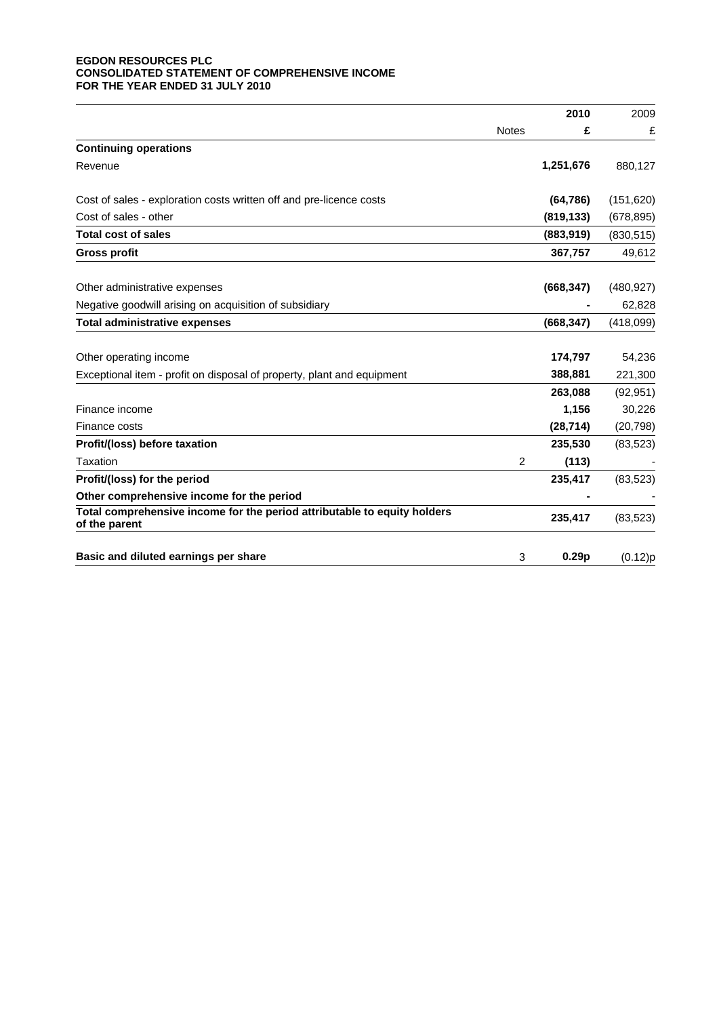## **EGDON RESOURCES PLC CONSOLIDATED STATEMENT OF COMPREHENSIVE INCOME FOR THE YEAR ENDED 31 JULY 2010**

| 2010                                                                                                 | 2009       |
|------------------------------------------------------------------------------------------------------|------------|
| <b>Notes</b><br>£                                                                                    | £          |
| <b>Continuing operations</b>                                                                         |            |
| Revenue<br>1,251,676                                                                                 | 880,127    |
| (64, 786)<br>Cost of sales - exploration costs written off and pre-licence costs                     | (151, 620) |
| Cost of sales - other<br>(819, 133)                                                                  | (678, 895) |
| <b>Total cost of sales</b><br>(883, 919)                                                             | (830, 515) |
| 367,757<br><b>Gross profit</b>                                                                       | 49,612     |
| (668, 347)<br>Other administrative expenses                                                          | (480, 927) |
| Negative goodwill arising on acquisition of subsidiary                                               | 62,828     |
| <b>Total administrative expenses</b><br>(668, 347)                                                   | (418,099)  |
| Other operating income<br>174,797                                                                    | 54,236     |
| 388,881<br>Exceptional item - profit on disposal of property, plant and equipment                    | 221,300    |
| 263,088                                                                                              | (92, 951)  |
| 1,156<br>Finance income                                                                              | 30,226     |
| (28, 714)<br>Finance costs                                                                           | (20, 798)  |
| Profit/(loss) before taxation<br>235,530                                                             | (83, 523)  |
| Taxation<br>2<br>(113)                                                                               |            |
| Profit/(loss) for the period<br>235,417                                                              | (83, 523)  |
| Other comprehensive income for the period                                                            |            |
| Total comprehensive income for the period attributable to equity holders<br>235,417<br>of the parent | (83, 523)  |
| Basic and diluted earnings per share<br>3<br>0.29 <sub>p</sub>                                       | (0.12)p    |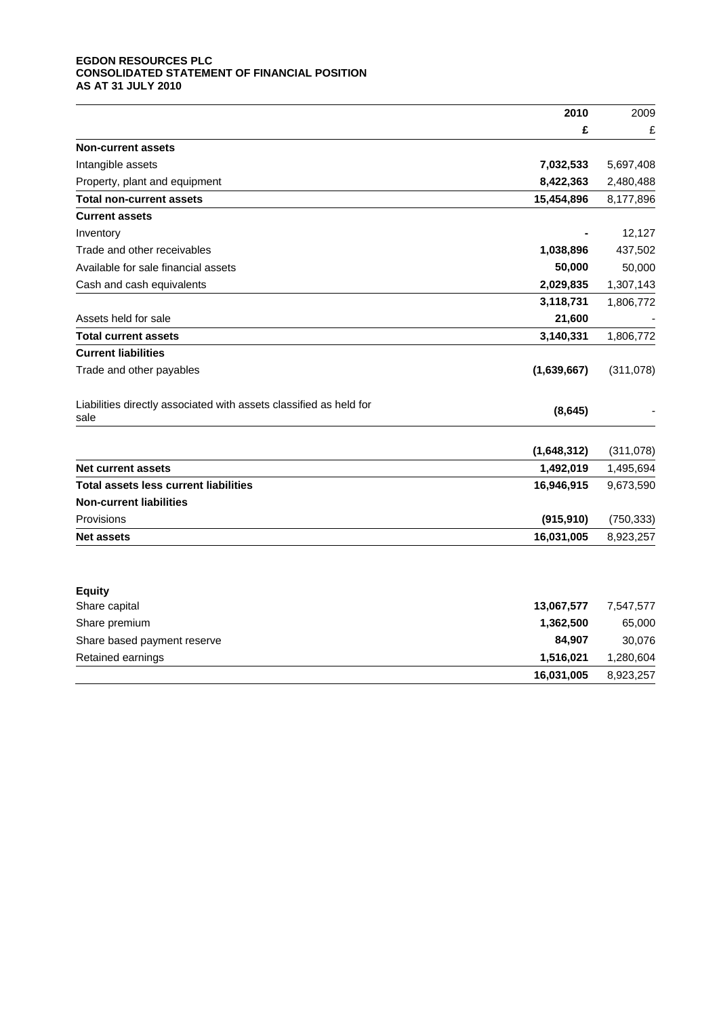## **EGDON RESOURCES PLC CONSOLIDATED STATEMENT OF FINANCIAL POSITION AS AT 31 JULY 2010**

|                                                                            | 2010        | 2009       |
|----------------------------------------------------------------------------|-------------|------------|
|                                                                            | £           | £          |
| <b>Non-current assets</b>                                                  |             |            |
| Intangible assets                                                          | 7,032,533   | 5,697,408  |
| Property, plant and equipment                                              | 8,422,363   | 2,480,488  |
| Total non-current assets                                                   | 15,454,896  | 8,177,896  |
| <b>Current assets</b>                                                      |             |            |
| Inventory                                                                  |             | 12,127     |
| Trade and other receivables                                                | 1,038,896   | 437,502    |
| Available for sale financial assets                                        | 50,000      | 50,000     |
| Cash and cash equivalents                                                  | 2,029,835   | 1,307,143  |
|                                                                            | 3,118,731   | 1,806,772  |
| Assets held for sale                                                       | 21,600      |            |
| <b>Total current assets</b>                                                | 3,140,331   | 1,806,772  |
| <b>Current liabilities</b>                                                 |             |            |
| Trade and other payables                                                   | (1,639,667) | (311,078)  |
| Liabilities directly associated with assets classified as held for<br>sale | (8,645)     |            |
|                                                                            | (1,648,312) | (311,078)  |
| <b>Net current assets</b>                                                  | 1,492,019   | 1,495,694  |
| <b>Total assets less current liabilities</b>                               | 16,946,915  | 9,673,590  |
| <b>Non-current liabilities</b>                                             |             |            |
| Provisions                                                                 | (915, 910)  | (750, 333) |
| <b>Net assets</b>                                                          | 16,031,005  | 8,923,257  |
|                                                                            |             |            |
| <b>Equity</b><br>Share capital                                             | 13,067,577  | 7,547,577  |
| Share premium                                                              | 1,362,500   | 65,000     |
| Share based payment reserve                                                | 84,907      | 30,076     |
| Retained earnings                                                          | 1,516,021   | 1,280,604  |
|                                                                            | 16,031,005  | 8,923,257  |
|                                                                            |             |            |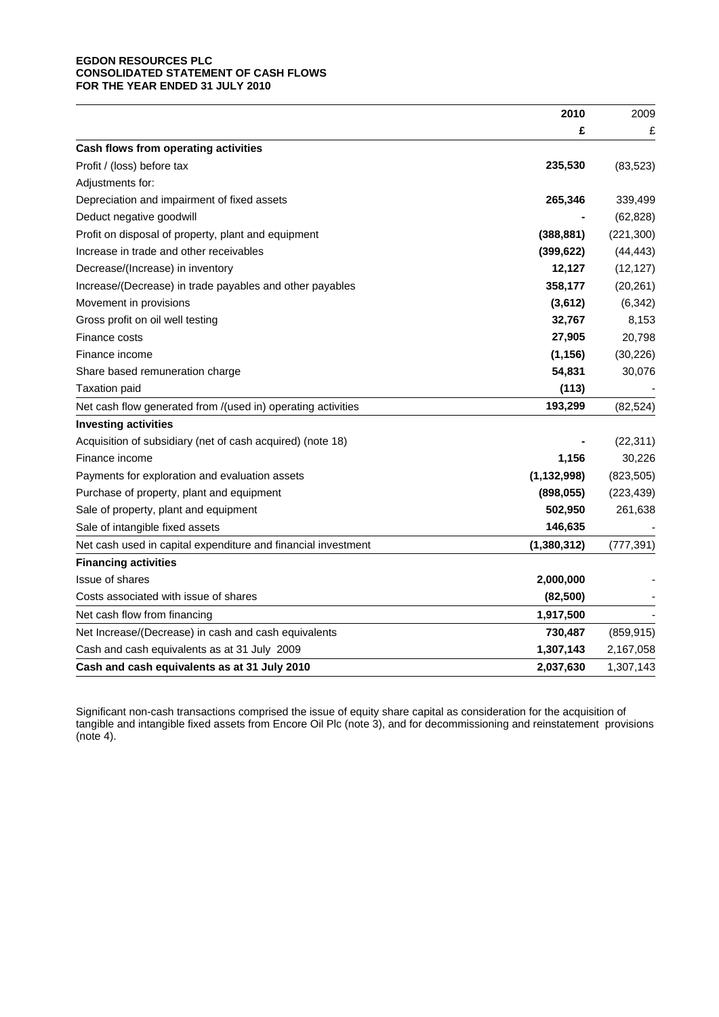## **EGDON RESOURCES PLC CONSOLIDATED STATEMENT OF CASH FLOWS FOR THE YEAR ENDED 31 JULY 2010**

|                                                               | 2010          | 2009       |
|---------------------------------------------------------------|---------------|------------|
|                                                               | £             | £          |
| Cash flows from operating activities                          |               |            |
| Profit / (loss) before tax                                    | 235,530       | (83, 523)  |
| Adjustments for:                                              |               |            |
| Depreciation and impairment of fixed assets                   | 265,346       | 339,499    |
| Deduct negative goodwill                                      |               | (62, 828)  |
| Profit on disposal of property, plant and equipment           | (388, 881)    | (221, 300) |
| Increase in trade and other receivables                       | (399, 622)    | (44, 443)  |
| Decrease/(Increase) in inventory                              | 12,127        | (12, 127)  |
| Increase/(Decrease) in trade payables and other payables      | 358,177       | (20, 261)  |
| Movement in provisions                                        | (3,612)       | (6, 342)   |
| Gross profit on oil well testing                              | 32,767        | 8,153      |
| Finance costs                                                 | 27,905        | 20,798     |
| Finance income                                                | (1, 156)      | (30, 226)  |
| Share based remuneration charge                               | 54,831        | 30,076     |
| <b>Taxation paid</b>                                          | (113)         |            |
| Net cash flow generated from /(used in) operating activities  | 193,299       | (82, 524)  |
| <b>Investing activities</b>                                   |               |            |
| Acquisition of subsidiary (net of cash acquired) (note 18)    |               | (22, 311)  |
| Finance income                                                | 1,156         | 30,226     |
| Payments for exploration and evaluation assets                | (1, 132, 998) | (823, 505) |
| Purchase of property, plant and equipment                     | (898, 055)    | (223, 439) |
| Sale of property, plant and equipment                         | 502,950       | 261,638    |
| Sale of intangible fixed assets                               | 146,635       |            |
| Net cash used in capital expenditure and financial investment | (1, 380, 312) | (777, 391) |
| <b>Financing activities</b>                                   |               |            |
| Issue of shares                                               | 2,000,000     |            |
| Costs associated with issue of shares                         | (82, 500)     |            |
| Net cash flow from financing                                  | 1,917,500     |            |
| Net Increase/(Decrease) in cash and cash equivalents          | 730,487       | (859, 915) |
| Cash and cash equivalents as at 31 July 2009                  | 1,307,143     | 2,167,058  |
| Cash and cash equivalents as at 31 July 2010                  | 2,037,630     | 1,307,143  |

Significant non-cash transactions comprised the issue of equity share capital as consideration for the acquisition of tangible and intangible fixed assets from Encore Oil Plc (note 3), and for decommissioning and reinstatement provisions (note 4).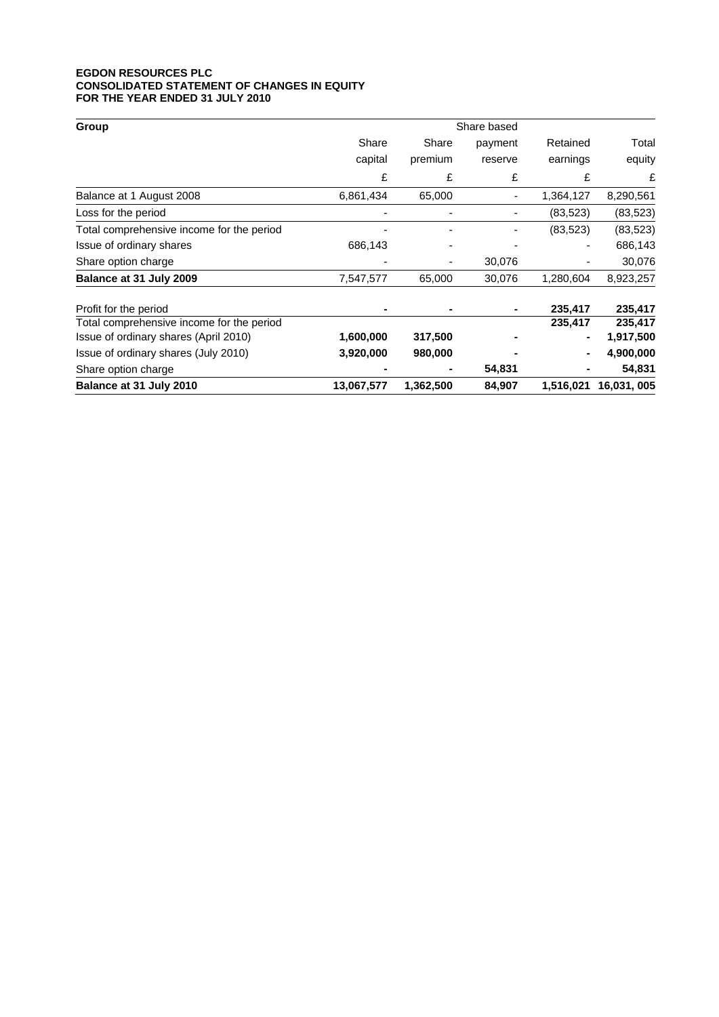#### **EGDON RESOURCES PLC CONSOLIDATED STATEMENT OF CHANGES IN EQUITY FOR THE YEAR ENDED 31 JULY 2010**

| Group                                     | Share based |           |         |           |            |
|-------------------------------------------|-------------|-----------|---------|-----------|------------|
|                                           | Share       | Share     | payment | Retained  | Total      |
|                                           | capital     | premium   | reserve | earnings  | equity     |
|                                           | £           | £         | £       | £         | £          |
| Balance at 1 August 2008                  | 6,861,434   | 65,000    |         | 1,364,127 | 8,290,561  |
| Loss for the period                       |             |           |         | (83, 523) | (83, 523)  |
| Total comprehensive income for the period |             |           |         | (83, 523) | (83, 523)  |
| Issue of ordinary shares                  | 686,143     |           |         |           | 686,143    |
| Share option charge                       |             | ٠         | 30,076  |           | 30,076     |
| Balance at 31 July 2009                   | 7,547,577   | 65,000    | 30,076  | 1,280,604 | 8,923,257  |
| Profit for the period                     |             |           |         | 235,417   | 235,417    |
| Total comprehensive income for the period |             |           |         | 235,417   | 235,417    |
| Issue of ordinary shares (April 2010)     | 1,600,000   | 317,500   |         |           | 1,917,500  |
| Issue of ordinary shares (July 2010)      | 3,920,000   | 980,000   |         |           | 4,900,000  |
| Share option charge                       |             |           | 54,831  |           | 54,831     |
| Balance at 31 July 2010                   | 13,067,577  | 1,362,500 | 84,907  | 1,516,021 | 16,031,005 |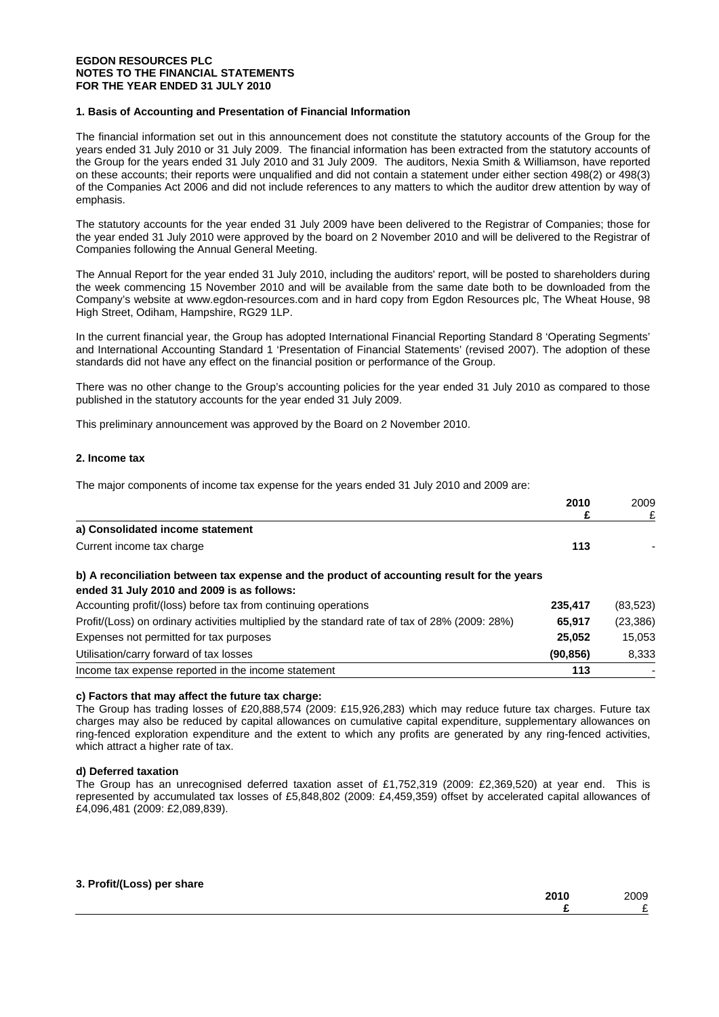#### **EGDON RESOURCES PLC NOTES TO THE FINANCIAL STATEMENTS FOR THE YEAR ENDED 31 JULY 2010**

## **1. Basis of Accounting and Presentation of Financial Information**

The financial information set out in this announcement does not constitute the statutory accounts of the Group for the years ended 31 July 2010 or 31 July 2009. The financial information has been extracted from the statutory accounts of the Group for the years ended 31 July 2010 and 31 July 2009. The auditors, Nexia Smith & Williamson, have reported on these accounts; their reports were unqualified and did not contain a statement under either section 498(2) or 498(3) of the Companies Act 2006 and did not include references to any matters to which the auditor drew attention by way of emphasis.

The statutory accounts for the year ended 31 July 2009 have been delivered to the Registrar of Companies; those for the year ended 31 July 2010 were approved by the board on 2 November 2010 and will be delivered to the Registrar of Companies following the Annual General Meeting.

The Annual Report for the year ended 31 July 2010, including the auditors' report, will be posted to shareholders during the week commencing 15 November 2010 and will be available from the same date both to be downloaded from the Company's website at www.egdon-resources.com and in hard copy from Egdon Resources plc, The Wheat House, 98 High Street, Odiham, Hampshire, RG29 1LP.

In the current financial year, the Group has adopted International Financial Reporting Standard 8 'Operating Segments' and International Accounting Standard 1 'Presentation of Financial Statements' (revised 2007). The adoption of these standards did not have any effect on the financial position or performance of the Group.

There was no other change to the Group's accounting policies for the year ended 31 July 2010 as compared to those published in the statutory accounts for the year ended 31 July 2009.

This preliminary announcement was approved by the Board on 2 November 2010.

#### **2. Income tax**

The major components of income tax expense for the years ended 31 July 2010 and 2009 are:

|                                                                                                | 2010      | 2009      |
|------------------------------------------------------------------------------------------------|-----------|-----------|
|                                                                                                | £         | £         |
| a) Consolidated income statement                                                               |           |           |
| Current income tax charge                                                                      | 113       |           |
| b) A reconciliation between tax expense and the product of accounting result for the years     |           |           |
| ended 31 July 2010 and 2009 is as follows:                                                     |           |           |
| Accounting profit/(loss) before tax from continuing operations                                 | 235.417   | (83, 523) |
| Profit/(Loss) on ordinary activities multiplied by the standard rate of tax of 28% (2009: 28%) | 65.917    | (23, 386) |
| Expenses not permitted for tax purposes                                                        | 25.052    | 15.053    |
| Utilisation/carry forward of tax losses                                                        | (90, 856) | 8,333     |
| Income tax expense reported in the income statement                                            | 113       |           |
|                                                                                                |           |           |

#### **c) Factors that may affect the future tax charge:**

The Group has trading losses of £20,888,574 (2009: £15,926,283) which may reduce future tax charges. Future tax charges may also be reduced by capital allowances on cumulative capital expenditure, supplementary allowances on ring-fenced exploration expenditure and the extent to which any profits are generated by any ring-fenced activities, which attract a higher rate of tax.

#### **d) Deferred taxation**

The Group has an unrecognised deferred taxation asset of £1,752,319 (2009: £2,369,520) at year end. This is represented by accumulated tax losses of £5,848,802 (2009: £4,459,359) offset by accelerated capital allowances of £4,096,481 (2009: £2,089,839).

#### **3. Profit/(Loss) per share**

| ---<br>------- | 0.10<br>1 V<br><b>LUIV</b> | 2009 |
|----------------|----------------------------|------|
|                |                            | -    |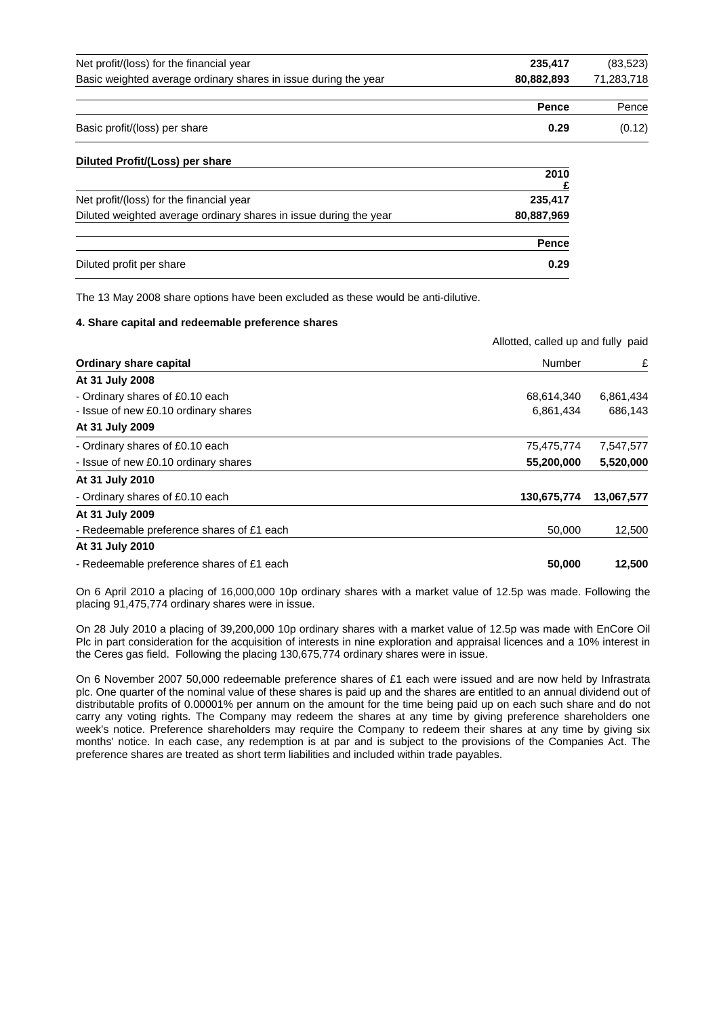| Net profit/(loss) for the financial year                        | 235.417    | (83,523)   |
|-----------------------------------------------------------------|------------|------------|
| Basic weighted average ordinary shares in issue during the year | 80.882.893 | 71,283,718 |
|                                                                 |            |            |
|                                                                 | Pence      | Pence      |

| Basic profit/(loss) per share | 0.29 | (0.12) |
|-------------------------------|------|--------|
|                               |      |        |

| Diluted Profit/(Loss) per share                                   |              |
|-------------------------------------------------------------------|--------------|
|                                                                   | 2010         |
| Net profit/(loss) for the financial year                          | 235,417      |
| Diluted weighted average ordinary shares in issue during the year | 80,887,969   |
|                                                                   | <b>Pence</b> |
| Diluted profit per share                                          | 0.29         |

The 13 May 2008 share options have been excluded as these would be anti-dilutive.

#### **4. Share capital and redeemable preference shares**

|                                           | Allotted, called up and fully paid |            |
|-------------------------------------------|------------------------------------|------------|
| <b>Ordinary share capital</b>             | Number                             | £          |
| At 31 July 2008                           |                                    |            |
| - Ordinary shares of £0.10 each           | 68,614,340                         | 6,861,434  |
| - Issue of new £0.10 ordinary shares      | 6,861,434                          | 686,143    |
| At 31 July 2009                           |                                    |            |
| - Ordinary shares of £0.10 each           | 75,475,774                         | 7,547,577  |
| - Issue of new £0.10 ordinary shares      | 55,200,000                         | 5,520,000  |
| At 31 July 2010                           |                                    |            |
| - Ordinary shares of £0.10 each           | 130,675,774                        | 13,067,577 |
| At 31 July 2009                           |                                    |            |
| - Redeemable preference shares of £1 each | 50,000                             | 12,500     |
| At 31 July 2010                           |                                    |            |
| - Redeemable preference shares of £1 each | 50,000                             | 12,500     |

On 6 April 2010 a placing of 16,000,000 10p ordinary shares with a market value of 12.5p was made. Following the placing 91,475,774 ordinary shares were in issue.

On 28 July 2010 a placing of 39,200,000 10p ordinary shares with a market value of 12.5p was made with EnCore Oil Plc in part consideration for the acquisition of interests in nine exploration and appraisal licences and a 10% interest in the Ceres gas field. Following the placing 130,675,774 ordinary shares were in issue.

On 6 November 2007 50,000 redeemable preference shares of £1 each were issued and are now held by Infrastrata plc. One quarter of the nominal value of these shares is paid up and the shares are entitled to an annual dividend out of distributable profits of 0.00001% per annum on the amount for the time being paid up on each such share and do not carry any voting rights. The Company may redeem the shares at any time by giving preference shareholders one week's notice. Preference shareholders may require the Company to redeem their shares at any time by giving six months' notice. In each case, any redemption is at par and is subject to the provisions of the Companies Act. The preference shares are treated as short term liabilities and included within trade payables.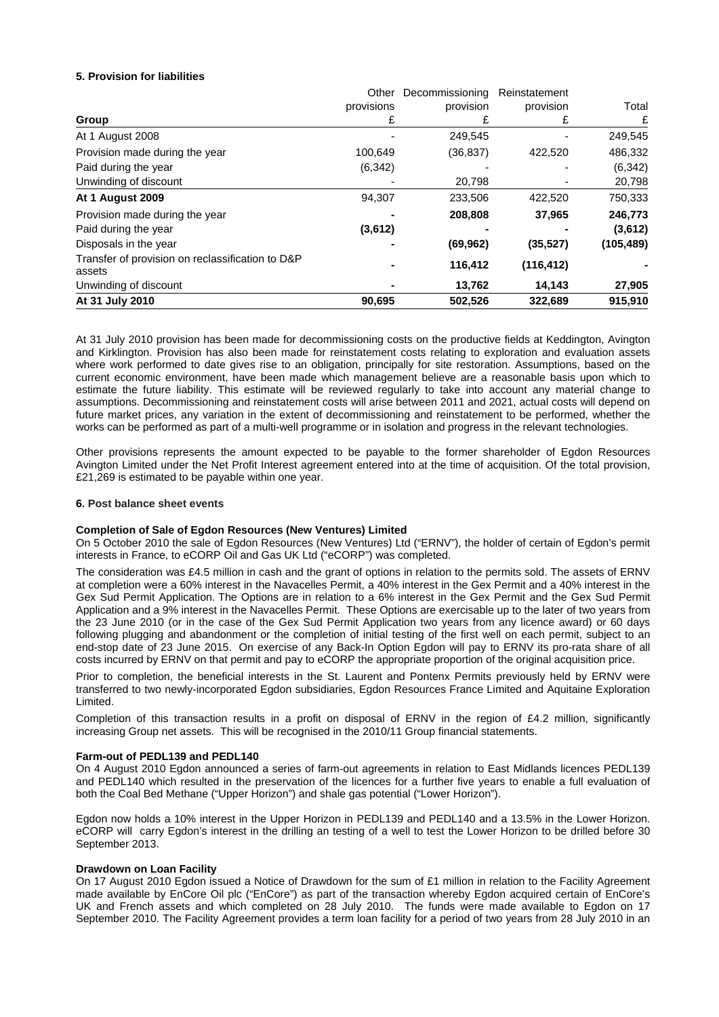## **5. Provision for liabilities**

|                                                            | Other      | Decommissioning | Reinstatement |            |
|------------------------------------------------------------|------------|-----------------|---------------|------------|
|                                                            | provisions | provision       | provision     | Total      |
| Group                                                      | £          | £               | £             | £          |
| At 1 August 2008                                           |            | 249,545         |               | 249,545    |
| Provision made during the year                             | 100,649    | (36, 837)       | 422,520       | 486,332    |
| Paid during the year                                       | (6, 342)   |                 |               | (6, 342)   |
| Unwinding of discount                                      |            | 20,798          |               | 20,798     |
| At 1 August 2009                                           | 94,307     | 233,506         | 422,520       | 750,333    |
| Provision made during the year                             |            | 208,808         | 37,965        | 246,773    |
| Paid during the year                                       | (3,612)    |                 |               | (3,612)    |
| Disposals in the year                                      |            | (69, 962)       | (35, 527)     | (105, 489) |
| Transfer of provision on reclassification to D&P<br>assets |            | 116,412         | (116, 412)    |            |
| Unwinding of discount                                      |            | 13,762          | 14,143        | 27,905     |
| At 31 July 2010                                            | 90,695     | 502,526         | 322.689       | 915,910    |

At 31 July 2010 provision has been made for decommissioning costs on the productive fields at Keddington, Avington and Kirklington. Provision has also been made for reinstatement costs relating to exploration and evaluation assets where work performed to date gives rise to an obligation, principally for site restoration. Assumptions, based on the current economic environment, have been made which management believe are a reasonable basis upon which to estimate the future liability. This estimate will be reviewed regularly to take into account any material change to assumptions. Decommissioning and reinstatement costs will arise between 2011 and 2021, actual costs will depend on future market prices, any variation in the extent of decommissioning and reinstatement to be performed, whether the works can be performed as part of a multi-well programme or in isolation and progress in the relevant technologies.

Other provisions represents the amount expected to be payable to the former shareholder of Egdon Resources Avington Limited under the Net Profit Interest agreement entered into at the time of acquisition. Of the total provision, £21,269 is estimated to be payable within one year.

#### **6. Post balance sheet events**

#### **Completion of Sale of Egdon Resources (New Ventures) Limited**

On 5 October 2010 the sale of Egdon Resources (New Ventures) Ltd ("ERNV"), the holder of certain of Egdon's permit interests in France, to eCORP Oil and Gas UK Ltd ("eCORP") was completed.

The consideration was £4.5 million in cash and the grant of options in relation to the permits sold. The assets of ERNV at completion were a 60% interest in the Navacelles Permit, a 40% interest in the Gex Permit and a 40% interest in the Gex Sud Permit Application. The Options are in relation to a 6% interest in the Gex Permit and the Gex Sud Permit Application and a 9% interest in the Navacelles Permit. These Options are exercisable up to the later of two years from the 23 June 2010 (or in the case of the Gex Sud Permit Application two years from any licence award) or 60 days following plugging and abandonment or the completion of initial testing of the first well on each permit, subject to an end-stop date of 23 June 2015. On exercise of any Back-In Option Egdon will pay to ERNV its pro-rata share of all costs incurred by ERNV on that permit and pay to eCORP the appropriate proportion of the original acquisition price.

Prior to completion, the beneficial interests in the St. Laurent and Pontenx Permits previously held by ERNV were transferred to two newly-incorporated Egdon subsidiaries, Egdon Resources France Limited and Aquitaine Exploration Limited.

Completion of this transaction results in a profit on disposal of ERNV in the region of £4.2 million, significantly increasing Group net assets. This will be recognised in the 2010/11 Group financial statements.

#### **Farm-out of PEDL139 and PEDL140**

On 4 August 2010 Egdon announced a series of farm-out agreements in relation to East Midlands licences PEDL139 and PEDL140 which resulted in the preservation of the licences for a further five years to enable a full evaluation of both the Coal Bed Methane ("Upper Horizon") and shale gas potential ("Lower Horizon").

Egdon now holds a 10% interest in the Upper Horizon in PEDL139 and PEDL140 and a 13.5% in the Lower Horizon. eCORP will carry Egdon's interest in the drilling an testing of a well to test the Lower Horizon to be drilled before 30 September 2013.

#### **Drawdown on Loan Facility**

On 17 August 2010 Egdon issued a Notice of Drawdown for the sum of £1 million in relation to the Facility Agreement made available by EnCore Oil plc ("EnCore") as part of the transaction whereby Egdon acquired certain of EnCore's UK and French assets and which completed on 28 July 2010. The funds were made available to Egdon on 17 September 2010. The Facility Agreement provides a term loan facility for a period of two years from 28 July 2010 in an